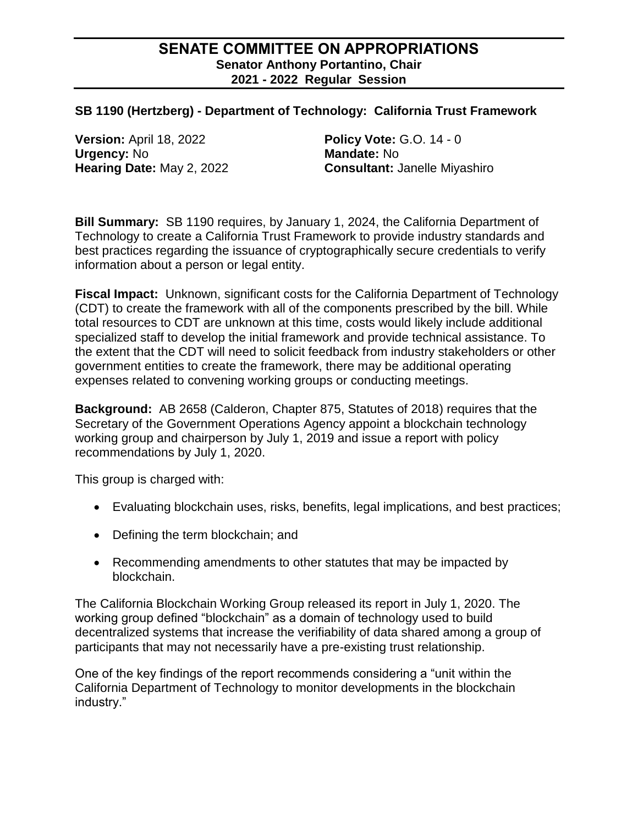## **SENATE COMMITTEE ON APPROPRIATIONS Senator Anthony Portantino, Chair 2021 - 2022 Regular Session**

## **SB 1190 (Hertzberg) - Department of Technology: California Trust Framework**

**Version:** April 18, 2022 **Policy Vote:** G.O. 14 - 0 **Urgency:** No **Mandate:** No

**Hearing Date:** May 2, 2022 **Consultant:** Janelle Miyashiro

**Bill Summary:** SB 1190 requires, by January 1, 2024, the California Department of Technology to create a California Trust Framework to provide industry standards and best practices regarding the issuance of cryptographically secure credentials to verify information about a person or legal entity.

**Fiscal Impact:** Unknown, significant costs for the California Department of Technology (CDT) to create the framework with all of the components prescribed by the bill. While total resources to CDT are unknown at this time, costs would likely include additional specialized staff to develop the initial framework and provide technical assistance. To the extent that the CDT will need to solicit feedback from industry stakeholders or other government entities to create the framework, there may be additional operating expenses related to convening working groups or conducting meetings.

**Background:** AB 2658 (Calderon, Chapter 875, Statutes of 2018) requires that the Secretary of the Government Operations Agency appoint a blockchain technology working group and chairperson by July 1, 2019 and issue a report with policy recommendations by July 1, 2020.

This group is charged with:

- Evaluating blockchain uses, risks, benefits, legal implications, and best practices;
- Defining the term blockchain; and
- Recommending amendments to other statutes that may be impacted by blockchain.

The California Blockchain Working Group released its report in July 1, 2020. The working group defined "blockchain" as a domain of technology used to build decentralized systems that increase the verifiability of data shared among a group of participants that may not necessarily have a pre-existing trust relationship.

One of the key findings of the report recommends considering a "unit within the California Department of Technology to monitor developments in the blockchain industry."